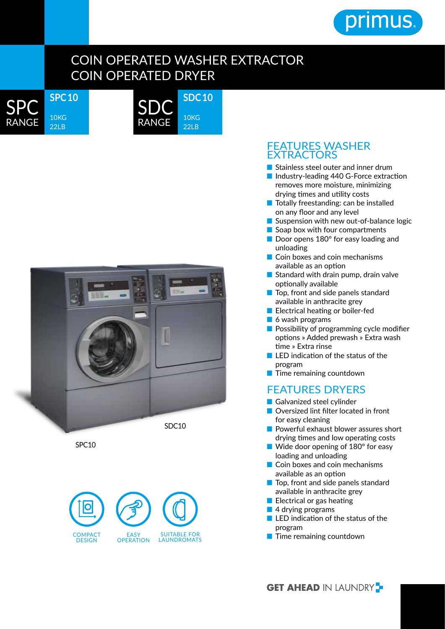

## COIN OPERATED WASHER EXTRACTOR COIN OPERATED DRYER



**SDC 10** 10KG 22LB SDC RANGE



SPC10



## FEATURES WASHER EXTRACTORS

- Stainless steel outer and inner drum
- Industry-leading 440 G-Force extraction removes more moisture, minimizing drying times and utility costs
- Totally freestanding: can be installed on any floor and any level
- Suspension with new out-of-balance logic
- Soap box with four compartments
- Door opens 180° for easy loading and unloading
- Coin boxes and coin mechanisms available as an option
- Standard with drain pump, drain valve optionally available
- Top, front and side panels standard available in anthracite grey
- Electrical heating or boiler-fed
- 6 wash programs
- Possibility of programming cycle modifier options » Added prewash » Extra wash time » Extra rinse
- LED indication of the status of the program
- Time remaining countdown

## FEATURES DRYERS

- Galvanized steel cylinder
- Oversized lint filter located in front for easy cleaning
- Powerful exhaust blower assures short drying times and low operating costs
- Wide door opening of 180° for easy loading and unloading
- Coin boxes and coin mechanisms available as an option
- Top, front and side panels standard available in anthracite grey
- Electrical or gas heating
- 4 drying programs
- LED indication of the status of the program
- 

**GET AHEAD IN LAUNDRY -**